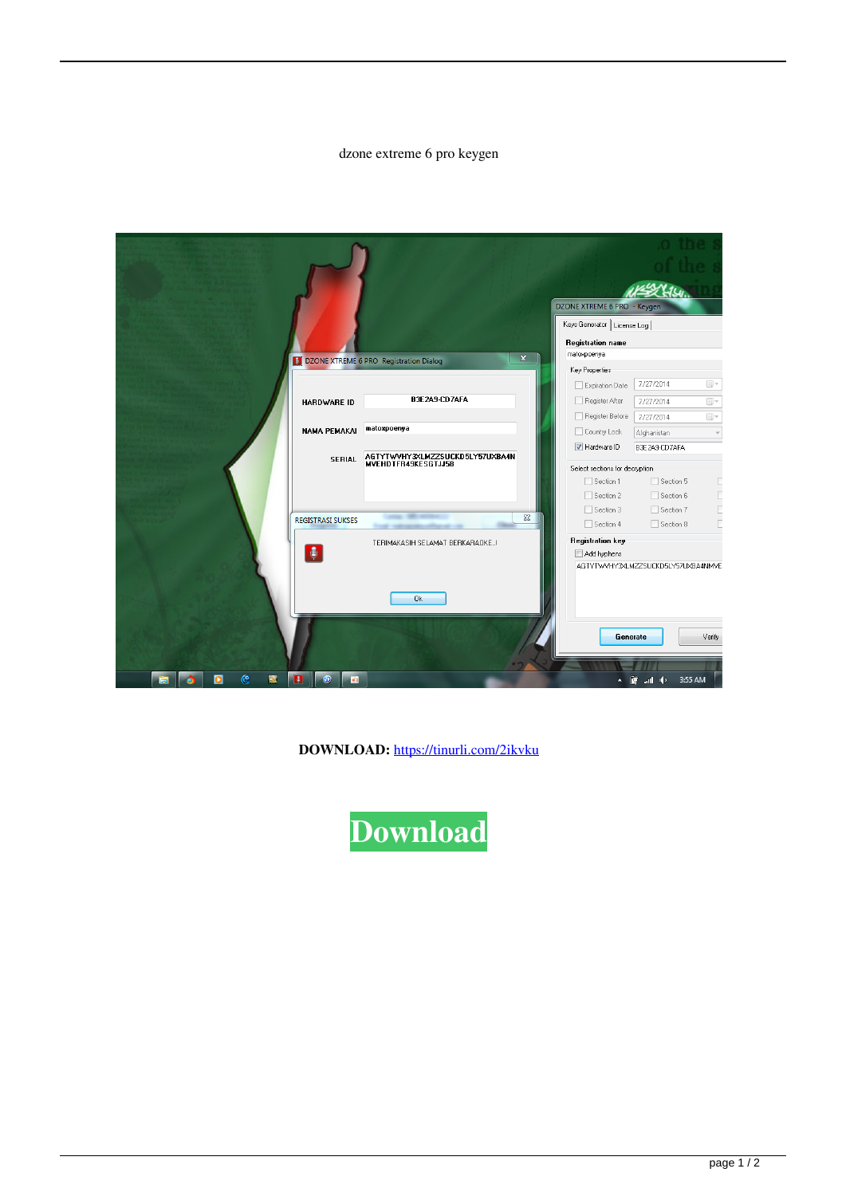## dzone extreme 6 pro keygen

|        |                                                                             |                                                        | DZONE XTREME 6 PRO - Keygen    |                                                          |
|--------|-----------------------------------------------------------------------------|--------------------------------------------------------|--------------------------------|----------------------------------------------------------|
|        |                                                                             |                                                        | Keys Generator   License Log   |                                                          |
|        |                                                                             |                                                        | Registration name              |                                                          |
|        |                                                                             |                                                        | matoxpoenya                    |                                                          |
|        | $\overline{\mathbf{x}}$<br><b>DI DZONE XTREME 6 PRO Registration Dialog</b> |                                                        | Key Properties                 |                                                          |
|        |                                                                             |                                                        | Expiration Date                | 7/27/2014<br>$\Box$ -                                    |
|        |                                                                             | B3E2A9-CD7AFA                                          | Register After                 |                                                          |
|        | <b>HARDWARE ID</b>                                                          |                                                        |                                | $\Box$ $\sim$<br>7/27/2014                               |
|        |                                                                             | matoxpoenya                                            | Register Before                | $\Box$ $\forall$<br>7/27/2014                            |
|        | <b>NAMA PEMAKAI</b>                                                         |                                                        | Country Lock                   | Afghanistan<br>$\overline{\mathcal{M}}$                  |
|        | <b>SERIAL</b>                                                               | AGTYTWVHY3XLMZZSUCKD5LY57UXBA4N<br>MVEHDTFR49KESGTJJ58 | V Hardware ID                  | B3E2A9-CD7AFA                                            |
|        |                                                                             |                                                        | Select sections for decryption |                                                          |
|        |                                                                             |                                                        | Section 1                      | Section 5<br>Е                                           |
|        |                                                                             |                                                        | Section 2                      | C<br>Section 6                                           |
|        |                                                                             |                                                        | Section 3                      | Г<br>Section 7                                           |
|        | <b>REGISTRASI SUKSES</b>                                                    | $\Sigma$                                               | Section 4                      | Г<br>Section 8                                           |
|        | TERIMAKASIH SELAMAT BERKARAOKE!<br>$\bullet$                                |                                                        | <b>Registration key</b>        |                                                          |
|        |                                                                             |                                                        | Add hyphens                    |                                                          |
|        |                                                                             | 0k                                                     |                                | AGTYTWVHY3XLMZZSUCKD5LY57UXBA4NMVE<br>Verify<br>Generate |
| œ<br>震 | $\odot$<br>n<br>15 M                                                        |                                                        |                                | 醴<br>3:55 AM<br>uall do                                  |

DOWNLOAD: https://tinurli.com/2ikvku